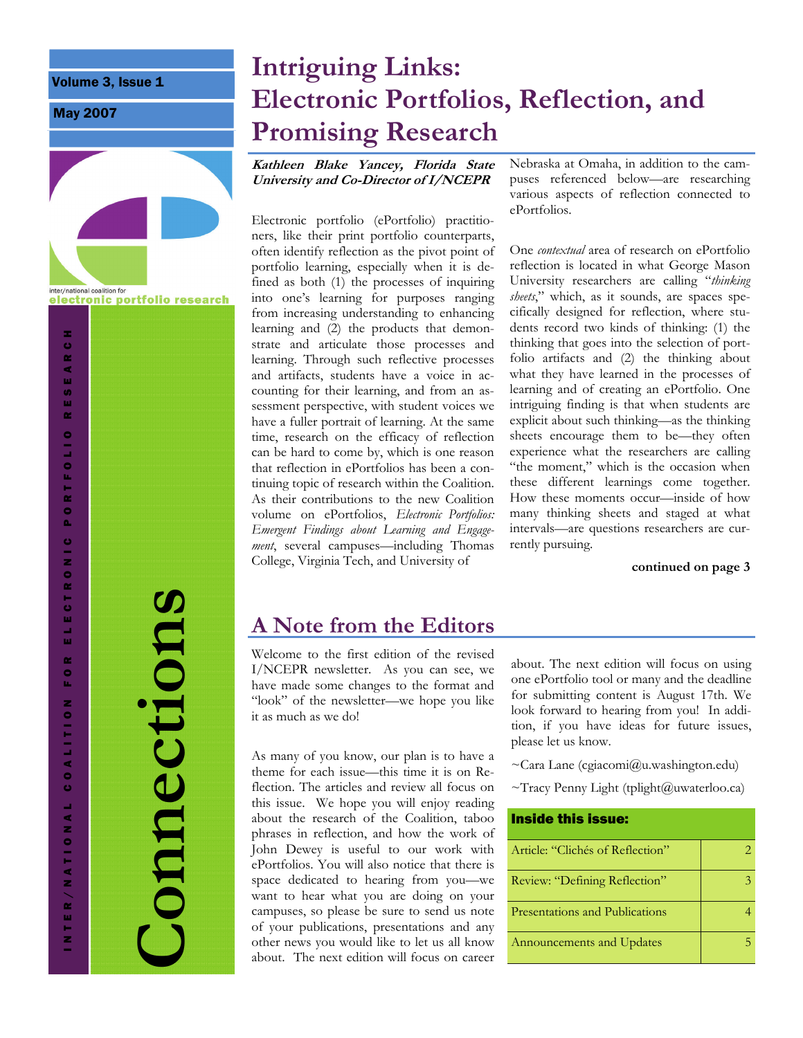Volume 3, Issue 1

May 2007



**Connections**  Connections

INTER/NATIONAL COALITION FOR ELECTRONIC PORTFOLIO RESEARCH

 $\frac{1}{2}$  $\mathbf{r}$  $\bullet$ ù,

COALITON

INTER/NATIONAL

×

EARC

-<br>9<br>3  $\bar{\mathbf{r}}$ 

**ORTFOLIO** 

ò.

ECTRONIC

# **Intriguing Links: Electronic Portfolios, Reflection, and Promising Research**

**Kathleen Blake Yancey, Florida State University and Co-Director of I/NCEPR** 

Electronic portfolio (ePortfolio) practitioners, like their print portfolio counterparts, often identify reflection as the pivot point of portfolio learning, especially when it is defined as both (1) the processes of inquiring into one's learning for purposes ranging from increasing understanding to enhancing learning and (2) the products that demonstrate and articulate those processes and learning. Through such reflective processes and artifacts, students have a voice in accounting for their learning, and from an assessment perspective, with student voices we have a fuller portrait of learning. At the same time, research on the efficacy of reflection can be hard to come by, which is one reason that reflection in ePortfolios has been a continuing topic of research within the Coalition. As their contributions to the new Coalition volume on ePortfolios, *Electronic Portfolios: Emergent Findings about Learning and Engagement*, several campuses—including Thomas College, Virginia Tech, and University of

Nebraska at Omaha, in addition to the campuses referenced below—are researching various aspects of reflection connected to ePortfolios.

One *contextual* area of research on ePortfolio reflection is located in what George Mason University researchers are calling "*thinking sheets*," which, as it sounds, are spaces specifically designed for reflection, where students record two kinds of thinking: (1) the thinking that goes into the selection of portfolio artifacts and (2) the thinking about what they have learned in the processes of learning and of creating an ePortfolio. One intriguing finding is that when students are explicit about such thinking—as the thinking sheets encourage them to be—they often experience what the researchers are calling "the moment," which is the occasion when these different learnings come together. How these moments occur—inside of how many thinking sheets and staged at what intervals—are questions researchers are currently pursuing.

#### **continued on page 3**

# **A Note from the Editors**

Welcome to the first edition of the revised I/NCEPR newsletter. As you can see, we have made some changes to the format and "look" of the newsletter—we hope you like it as much as we do!

As many of you know, our plan is to have a theme for each issue—this time it is on Reflection. The articles and review all focus on this issue. We hope you will enjoy reading about the research of the Coalition, taboo phrases in reflection, and how the work of John Dewey is useful to our work with ePortfolios. You will also notice that there is space dedicated to hearing from you—we want to hear what you are doing on your campuses, so please be sure to send us note of your publications, presentations and any other news you would like to let us all know about. The next edition will focus on career about. The next edition will focus on using one ePortfolio tool or many and the deadline for submitting content is August 17th. We look forward to hearing from you! In addition, if you have ideas for future issues, please let us know.

 $\sim$ Cara Lane (cgiacomi@u.washington.edu)

 $\sim$ Tracy Penny Light (tplight@uwaterloo.ca)

| Inside this issue:               |  |
|----------------------------------|--|
| Article: "Clichés of Reflection" |  |
| Review: "Defining Reflection"    |  |
| Presentations and Publications   |  |
| Announcements and Updates        |  |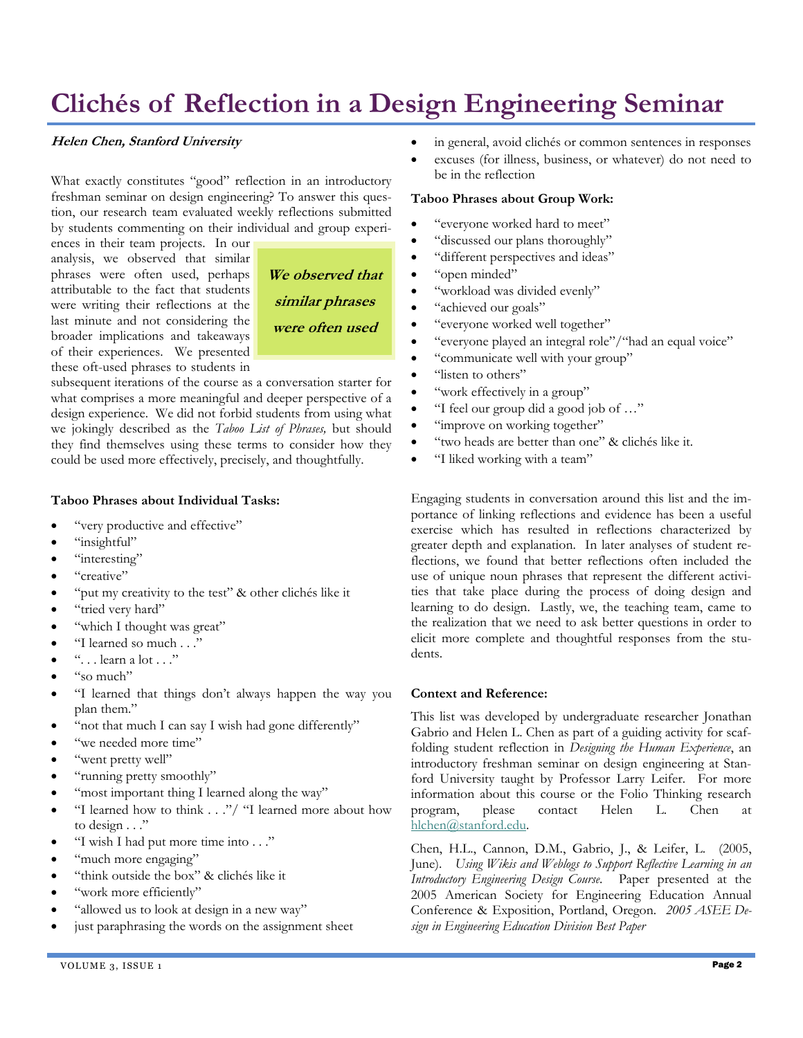# **Clichés of Reflection in a Design Engineering Seminar**

#### **Helen Chen, Stanford University**

What exactly constitutes "good" reflection in an introductory freshman seminar on design engineering? To answer this question, our research team evaluated weekly reflections submitted by students commenting on their individual and group experi-

ences in their team projects. In our analysis, we observed that similar phrases were often used, perhaps attributable to the fact that students were writing their reflections at the last minute and not considering the broader implications and takeaways of their experiences. We presented these oft-used phrases to students in



subsequent iterations of the course as a conversation starter for what comprises a more meaningful and deeper perspective of a design experience. We did not forbid students from using what we jokingly described as the *Taboo List of Phrases,* but should they find themselves using these terms to consider how they could be used more effectively, precisely, and thoughtfully.

#### **Taboo Phrases about Individual Tasks:**

- "very productive and effective"
- "insightful"
- "interesting"
- "creative"
- "put my creativity to the test" & other clichés like it
- "tried very hard"
- "which I thought was great"
- "I learned so much . . ."
- $\lq\ldots$  learn a lot  $\ldots$ "
- "so much"
- "I learned that things don't always happen the way you plan them."
- "not that much I can say I wish had gone differently"
- "we needed more time"
- "went pretty well"
- "running pretty smoothly"
- "most important thing I learned along the way"
- "I learned how to think . . ."/ "I learned more about how to design . . ."
- "I wish I had put more time into . . ."
- "much more engaging"
- "think outside the box" & clichés like it
- "work more efficiently"
- "allowed us to look at design in a new way"
- just paraphrasing the words on the assignment sheet
- in general, avoid clichés or common sentences in responses
- excuses (for illness, business, or whatever) do not need to be in the reflection

#### **Taboo Phrases about Group Work:**

- "everyone worked hard to meet"
- "discussed our plans thoroughly"
- "different perspectives and ideas"
- "open minded"
- "workload was divided evenly"
- "achieved our goals"
- "everyone worked well together"
- "everyone played an integral role"/"had an equal voice"
- "communicate well with your group"
- "listen to others"
- "work effectively in a group"
- "I feel our group did a good job of ..."
- "improve on working together"
- "two heads are better than one" & clichés like it.
- "I liked working with a team"

Engaging students in conversation around this list and the importance of linking reflections and evidence has been a useful exercise which has resulted in reflections characterized by greater depth and explanation. In later analyses of student reflections, we found that better reflections often included the use of unique noun phrases that represent the different activities that take place during the process of doing design and learning to do design. Lastly, we, the teaching team, came to the realization that we need to ask better questions in order to elicit more complete and thoughtful responses from the students.

#### **Context and Reference:**

This list was developed by undergraduate researcher Jonathan Gabrio and Helen L. Chen as part of a guiding activity for scaffolding student reflection in *Designing the Human Experience*, an introductory freshman seminar on design engineering at Stanford University taught by Professor Larry Leifer. For more information about this course or the Folio Thinking research program, please contact Helen L. Chen at [hlchen@stanford.edu](mailto:hlchen@stanford.edu).

Chen, H.L., Cannon, D.M., Gabrio, J., & Leifer, L. (2005, June). *Using Wikis and Weblogs to Support Reflective Learning in an Introductory Engineering Design Course*. Paper presented at the 2005 American Society for Engineering Education Annual Conference & Exposition, Portland, Oregon. *2005 ASEE Design in Engineering Education Division Best Paper*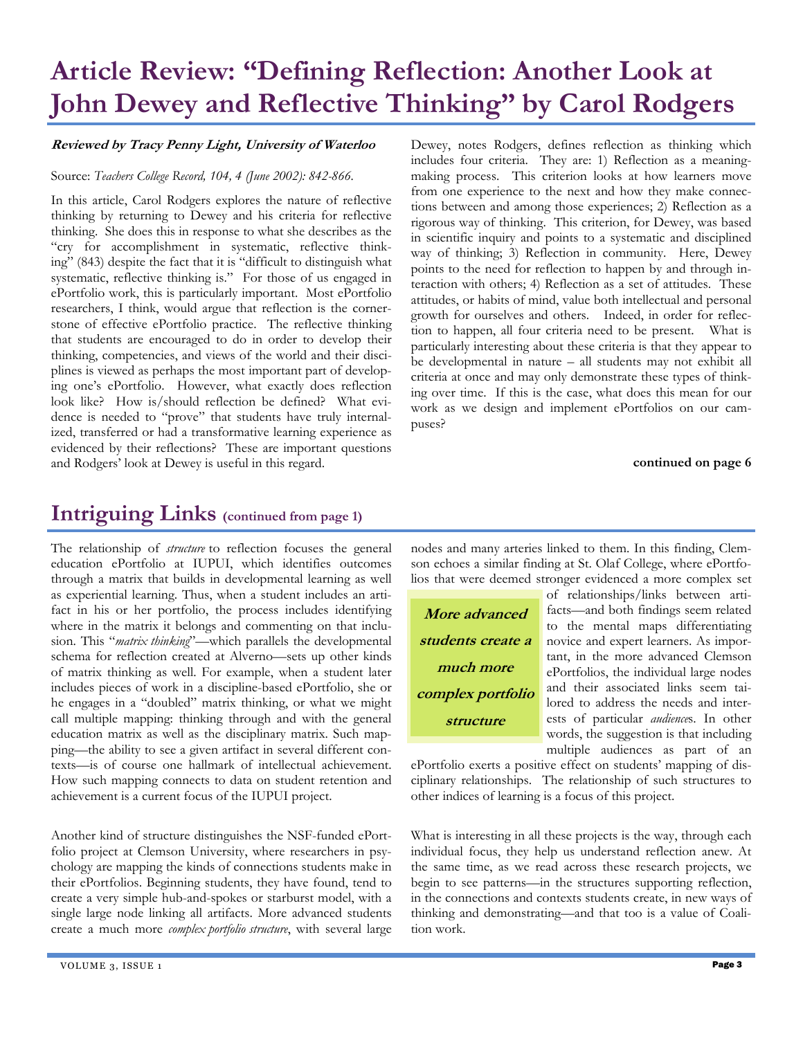# **Article Review: "Defining Reflection: Another Look at John Dewey and Reflective Thinking" by Carol Rodgers**

### **Reviewed by Tracy Penny Light, University of Waterloo**

#### Source: *Teachers College Record, 104, 4 (June 2002): 842-866.*

In this article, Carol Rodgers explores the nature of reflective thinking by returning to Dewey and his criteria for reflective thinking. She does this in response to what she describes as the "cry for accomplishment in systematic, reflective thinking" (843) despite the fact that it is "difficult to distinguish what systematic, reflective thinking is." For those of us engaged in ePortfolio work, this is particularly important. Most ePortfolio researchers, I think, would argue that reflection is the cornerstone of effective ePortfolio practice. The reflective thinking that students are encouraged to do in order to develop their thinking, competencies, and views of the world and their disciplines is viewed as perhaps the most important part of developing one's ePortfolio. However, what exactly does reflection look like? How is/should reflection be defined? What evidence is needed to "prove" that students have truly internalized, transferred or had a transformative learning experience as evidenced by their reflections? These are important questions and Rodgers' look at Dewey is useful in this regard.

**Intriguing Links (continued from page 1)**

The relationship of *structure* to reflection focuses the general education ePortfolio at IUPUI, which identifies outcomes through a matrix that builds in developmental learning as well as experiential learning. Thus, when a student includes an artifact in his or her portfolio, the process includes identifying where in the matrix it belongs and commenting on that inclusion. This "*matrix thinking*"—which parallels the developmental schema for reflection created at Alverno—sets up other kinds of matrix thinking as well. For example, when a student later includes pieces of work in a discipline-based ePortfolio, she or he engages in a "doubled" matrix thinking, or what we might call multiple mapping: thinking through and with the general education matrix as well as the disciplinary matrix. Such mapping—the ability to see a given artifact in several different contexts—is of course one hallmark of intellectual achievement. How such mapping connects to data on student retention and achievement is a current focus of the IUPUI project.

Another kind of structure distinguishes the NSF-funded ePortfolio project at Clemson University, where researchers in psychology are mapping the kinds of connections students make in their ePortfolios. Beginning students, they have found, tend to create a very simple hub-and-spokes or starburst model, with a single large node linking all artifacts. More advanced students create a much more *complex portfolio structure*, with several large Dewey, notes Rodgers, defines reflection as thinking which includes four criteria. They are: 1) Reflection as a meaningmaking process. This criterion looks at how learners move from one experience to the next and how they make connections between and among those experiences; 2) Reflection as a rigorous way of thinking. This criterion, for Dewey, was based in scientific inquiry and points to a systematic and disciplined way of thinking; 3) Reflection in community. Here, Dewey points to the need for reflection to happen by and through interaction with others; 4) Reflection as a set of attitudes. These attitudes, or habits of mind, value both intellectual and personal growth for ourselves and others. Indeed, in order for reflection to happen, all four criteria need to be present. What is particularly interesting about these criteria is that they appear to be developmental in nature – all students may not exhibit all criteria at once and may only demonstrate these types of thinking over time. If this is the case, what does this mean for our work as we design and implement ePortfolios on our campuses?

**continued on page 6** 

nodes and many arteries linked to them. In this finding, Clemson echoes a similar finding at St. Olaf College, where ePortfolios that were deemed stronger evidenced a more complex set

**More advanced students create a much more complex portfolio structure** 

of relationships/links between artifacts—and both findings seem related to the mental maps differentiating novice and expert learners. As important, in the more advanced Clemson ePortfolios, the individual large nodes and their associated links seem tailored to address the needs and interests of particular *audience*s. In other words, the suggestion is that including multiple audiences as part of an

ePortfolio exerts a positive effect on students' mapping of disciplinary relationships. The relationship of such structures to other indices of learning is a focus of this project.

What is interesting in all these projects is the way, through each individual focus, they help us understand reflection anew. At the same time, as we read across these research projects, we begin to see patterns—in the structures supporting reflection, in the connections and contexts students create, in new ways of thinking and demonstrating—and that too is a value of Coalition work.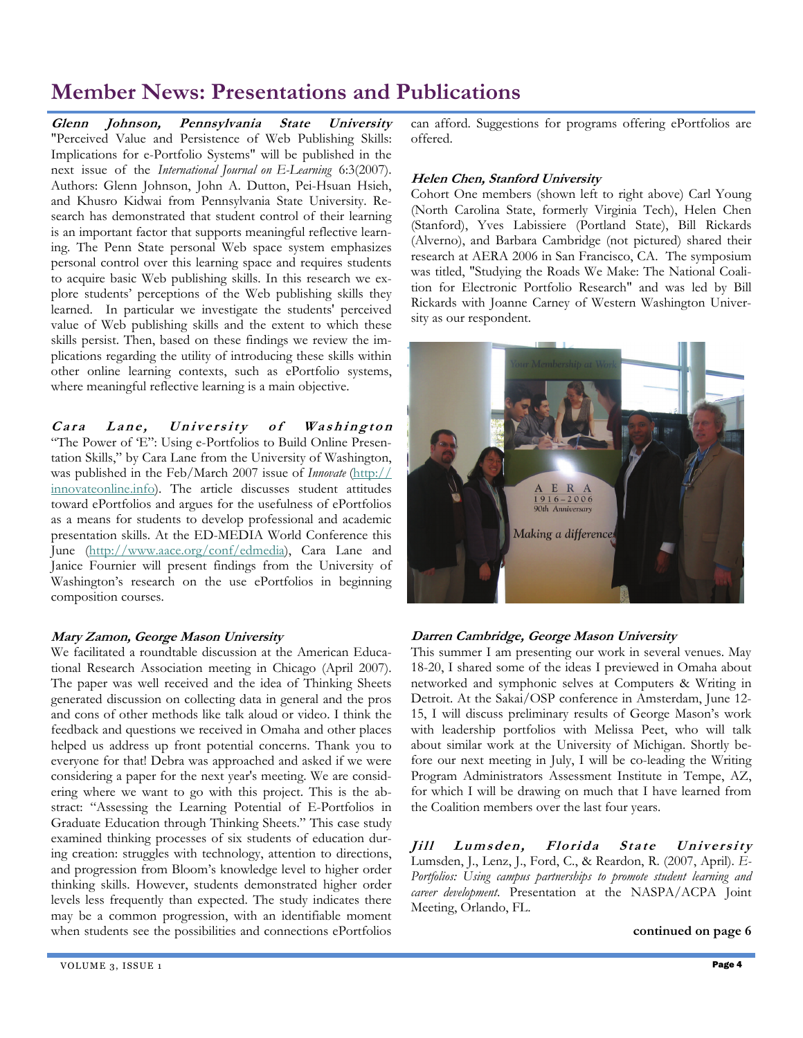# **Member News: Presentations and Publications**

**Glenn Johnson, Pennsylvania State University**  "Perceived Value and Persistence of Web Publishing Skills: Implications for e-Portfolio Systems" will be published in the next issue of the *International Journal on E-Learning* 6:3(2007). Authors: Glenn Johnson, John A. Dutton, Pei-Hsuan Hsieh, and Khusro Kidwai from Pennsylvania State University. Research has demonstrated that student control of their learning is an important factor that supports meaningful reflective learning. The Penn State personal Web space system emphasizes personal control over this learning space and requires students to acquire basic Web publishing skills. In this research we explore students' perceptions of the Web publishing skills they learned. In particular we investigate the students' perceived value of Web publishing skills and the extent to which these skills persist. Then, based on these findings we review the implications regarding the utility of introducing these skills within other online learning contexts, such as ePortfolio systems, where meaningful reflective learning is a main objective.

Cara Lane, University of Washington "The Power of 'E": Using e-Portfolios to Build Online Presentation Skills," by Cara Lane from the University of Washington, was published in the Feb/March 2007 issue of *Innovate* ([http://](http://innovateonline.info/) [innovateonline.info](http://innovateonline.info/)). The article discusses student attitudes toward ePortfolios and argues for the usefulness of ePortfolios as a means for students to develop professional and academic presentation skills. At the ED-MEDIA World Conference this June (<http://www.aace.org/conf/edmedia>), Cara Lane and Janice Fournier will present findings from the University of Washington's research on the use ePortfolios in beginning composition courses.

### **Mary Zamon, George Mason University**

We facilitated a roundtable discussion at the American Educational Research Association meeting in Chicago (April 2007). The paper was well received and the idea of Thinking Sheets generated discussion on collecting data in general and the pros and cons of other methods like talk aloud or video. I think the feedback and questions we received in Omaha and other places helped us address up front potential concerns. Thank you to everyone for that! Debra was approached and asked if we were considering a paper for the next year's meeting. We are considering where we want to go with this project. This is the abstract: "Assessing the Learning Potential of E-Portfolios in Graduate Education through Thinking Sheets." This case study examined thinking processes of six students of education during creation: struggles with technology, attention to directions, and progression from Bloom's knowledge level to higher order thinking skills. However, students demonstrated higher order levels less frequently than expected. The study indicates there may be a common progression, with an identifiable moment when students see the possibilities and connections ePortfolios can afford. Suggestions for programs offering ePortfolios are offered.

### **Helen Chen, Stanford University**

Cohort One members (shown left to right above) Carl Young (North Carolina State, formerly Virginia Tech), Helen Chen (Stanford), Yves Labissiere (Portland State), Bill Rickards (Alverno), and Barbara Cambridge (not pictured) shared their research at AERA 2006 in San Francisco, CA. The symposium was titled, "Studying the Roads We Make: The National Coalition for Electronic Portfolio Research" and was led by Bill Rickards with Joanne Carney of Western Washington University as our respondent.



## **Darren Cambridge, George Mason University**

This summer I am presenting our work in several venues. May 18-20, I shared some of the ideas I previewed in Omaha about networked and symphonic selves at Computers & Writing in Detroit. At the Sakai/OSP conference in Amsterdam, June 12- 15, I will discuss preliminary results of George Mason's work with leadership portfolios with Melissa Peet, who will talk about similar work at the University of Michigan. Shortly before our next meeting in July, I will be co-leading the Writing Program Administrators Assessment Institute in Tempe, AZ, for which I will be drawing on much that I have learned from the Coalition members over the last four years.

**Jill Lumsden, Florida State University** Lumsden, J., Lenz, J., Ford, C., & Reardon, R. (2007, April). *E-Portfolios: Using campus partnerships to promote student learning and career development*. Presentation at the NASPA/ACPA Joint Meeting, Orlando, FL.

**continued on page 6**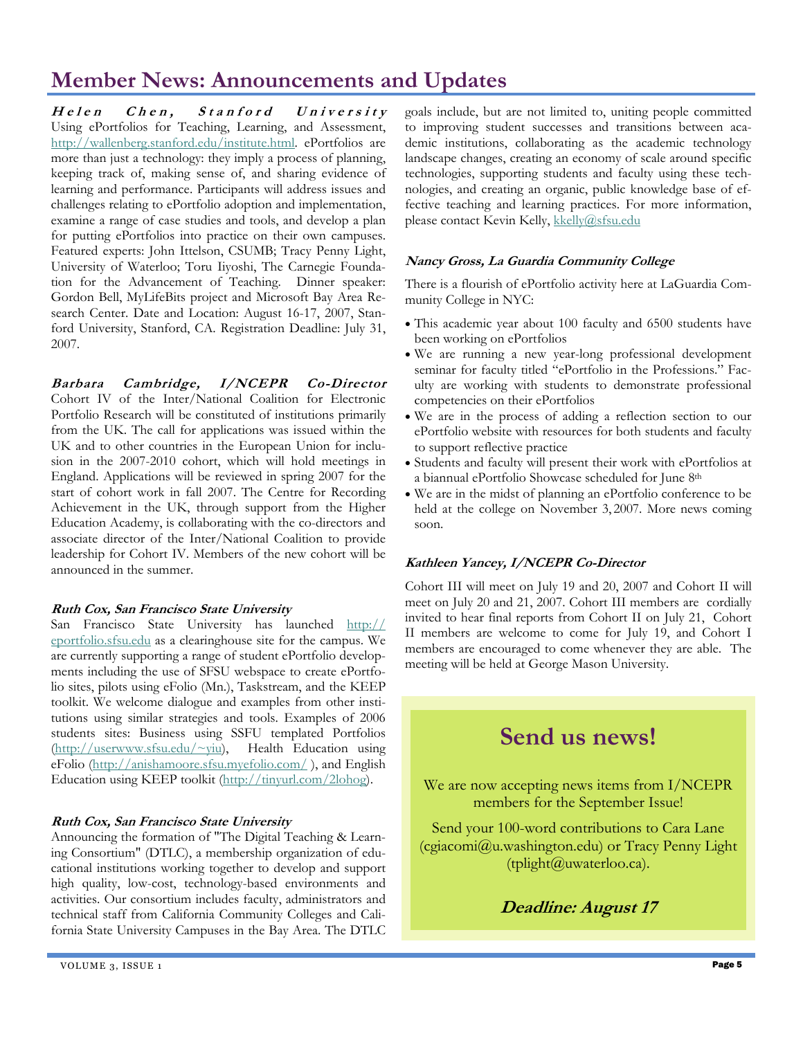# **Member News: Announcements and Updates**

**Helen Chen, Stanford University** Using ePortfolios for Teaching, Learning, and Assessment, <http://wallenberg.stanford.edu/institute.html>. ePortfolios are more than just a technology: they imply a process of planning, keeping track of, making sense of, and sharing evidence of learning and performance. Participants will address issues and challenges relating to ePortfolio adoption and implementation, examine a range of case studies and tools, and develop a plan for putting ePortfolios into practice on their own campuses. Featured experts: John Ittelson, CSUMB; Tracy Penny Light, University of Waterloo; Toru Iiyoshi, The Carnegie Foundation for the Advancement of Teaching. Dinner speaker: Gordon Bell, MyLifeBits project and Microsoft Bay Area Research Center. Date and Location: August 16-17, 2007, Stanford University, Stanford, CA. Registration Deadline: July 31, 2007.

**Barbara Cambridge, I/NCEPR Co-Director** Cohort IV of the Inter/National Coalition for Electronic Portfolio Research will be constituted of institutions primarily from the UK. The call for applications was issued within the UK and to other countries in the European Union for inclusion in the 2007-2010 cohort, which will hold meetings in England. Applications will be reviewed in spring 2007 for the start of cohort work in fall 2007. The Centre for Recording Achievement in the UK, through support from the Higher Education Academy, is collaborating with the co-directors and associate director of the Inter/National Coalition to provide leadership for Cohort IV. Members of the new cohort will be announced in the summer.

### **Ruth Cox, San Francisco State University**

San Francisco State University has launched [http://](http://eportfolio.sfsu.edu) [eportfolio.sfsu.edu](http://eportfolio.sfsu.edu) as a clearinghouse site for the campus. We are currently supporting a range of student ePortfolio developments including the use of SFSU webspace to create ePortfolio sites, pilots using eFolio (Mn.), Taskstream, and the KEEP toolkit. We welcome dialogue and examples from other institutions using similar strategies and tools. Examples of 2006 students sites: Business using SSFU templated Portfolios ([http://userwww.sfsu.edu/~yiu\)](http://userwww.sfsu.edu/%7Eyiu), Health Education using eFolio (<http://anishamoore.sfsu.myefolio.com/> ), and English Education using KEEP toolkit (<http://tinyurl.com/2lohog>).

### **Ruth Cox, San Francisco State University**

Announcing the formation of "The Digital Teaching & Learning Consortium" (DTLC), a membership organization of educational institutions working together to develop and support high quality, low-cost, technology-based environments and activities. Our consortium includes faculty, administrators and technical staff from California Community Colleges and California State University Campuses in the Bay Area. The DTLC goals include, but are not limited to, uniting people committed to improving student successes and transitions between academic institutions, collaborating as the academic technology landscape changes, creating an economy of scale around specific technologies, supporting students and faculty using these technologies, and creating an organic, public knowledge base of effective teaching and learning practices. For more information, please contact Kevin Kelly, [kkelly@sfsu.edu](mailto:kkelly@sfsu.edu)

### **Nancy Gross, La Guardia Community College**

There is a flourish of ePortfolio activity here at LaGuardia Community College in NYC:

- This academic year about 100 faculty and 6500 students have been working on ePortfolios
- We are running a new year-long professional development seminar for faculty titled "ePortfolio in the Professions." Faculty are working with students to demonstrate professional competencies on their ePortfolios
- We are in the process of adding a reflection section to our ePortfolio website with resources for both students and faculty to support reflective practice
- Students and faculty will present their work with ePortfolios at a biannual ePortfolio Showcase scheduled for June 8th
- We are in the midst of planning an ePortfolio conference to be held at the college on November 3, 2007. More news coming soon.

## **Kathleen Yancey, I/NCEPR Co-Director**

Cohort III will meet on July 19 and 20, 2007 and Cohort II will meet on July 20 and 21, 2007. Cohort III members are cordially invited to hear final reports from Cohort II on July 21, Cohort II members are welcome to come for July 19, and Cohort I members are encouraged to come whenever they are able. The meeting will be held at George Mason University.

# **Send us news!**

We are now accepting news items from I/NCEPR members for the September Issue!

Send your 100-word contributions to Cara Lane (cgiacomi@u.washington.edu) or Tracy Penny Light (tplight@uwaterloo.ca).

**Deadline: August 17**